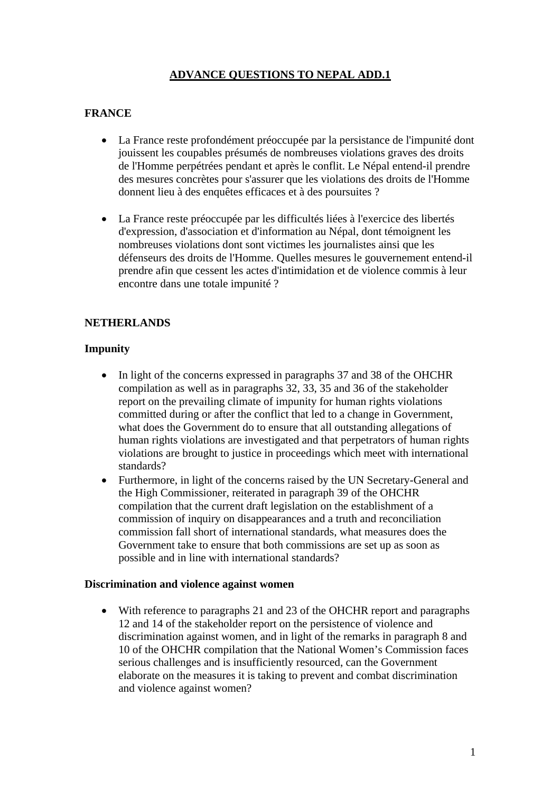# **ADVANCE QUESTIONS TO NEPAL ADD.1**

### **FRANCE**

- La France reste profondément préoccupée par la persistance de l'impunité dont jouissent les coupables présumés de nombreuses violations graves des droits de l'Homme perpétrées pendant et après le conflit. Le Népal entend-il prendre des mesures concrètes pour s'assurer que les violations des droits de l'Homme donnent lieu à des enquêtes efficaces et à des poursuites ?
- La France reste préoccupée par les difficultés liées à l'exercice des libertés d'expression, d'association et d'information au Népal, dont témoignent les nombreuses violations dont sont victimes les journalistes ainsi que les défenseurs des droits de l'Homme. Quelles mesures le gouvernement entend-il prendre afin que cessent les actes d'intimidation et de violence commis à leur encontre dans une totale impunité ?

### **NETHERLANDS**

### **Impunity**

- In light of the concerns expressed in paragraphs 37 and 38 of the OHCHR compilation as well as in paragraphs 32, 33, 35 and 36 of the stakeholder report on the prevailing climate of impunity for human rights violations committed during or after the conflict that led to a change in Government, what does the Government do to ensure that all outstanding allegations of human rights violations are investigated and that perpetrators of human rights violations are brought to justice in proceedings which meet with international standards?
- Furthermore, in light of the concerns raised by the UN Secretary-General and the High Commissioner, reiterated in paragraph 39 of the OHCHR compilation that the current draft legislation on the establishment of a commission of inquiry on disappearances and a truth and reconciliation commission fall short of international standards, what measures does the Government take to ensure that both commissions are set up as soon as possible and in line with international standards?

#### **Discrimination and violence against women**

• With reference to paragraphs 21 and 23 of the OHCHR report and paragraphs 12 and 14 of the stakeholder report on the persistence of violence and discrimination against women, and in light of the remarks in paragraph 8 and 10 of the OHCHR compilation that the National Women's Commission faces serious challenges and is insufficiently resourced, can the Government elaborate on the measures it is taking to prevent and combat discrimination and violence against women?